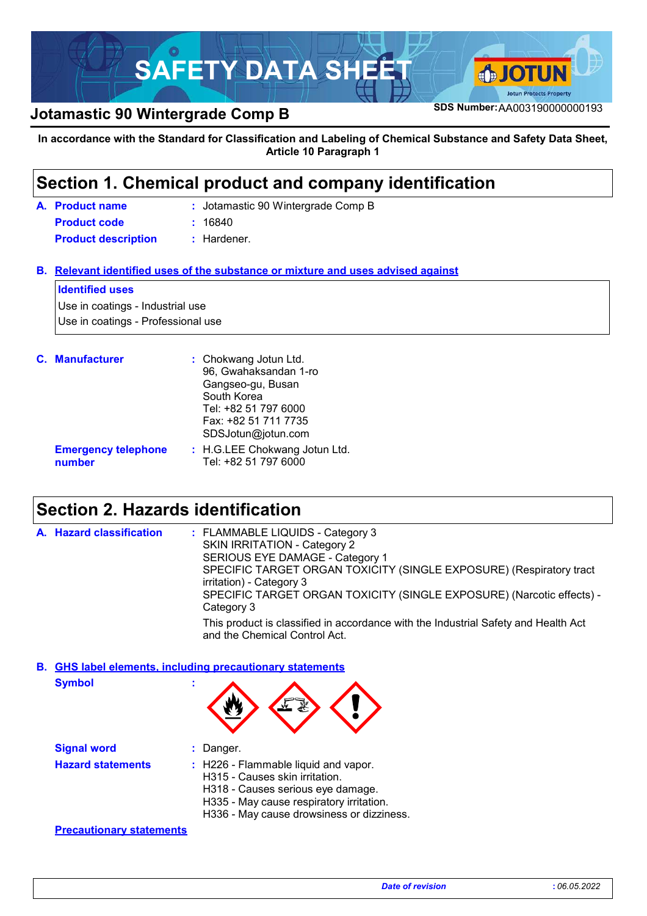

## **SDS Number:**AA003190000000193 **Jotamastic 90 Wintergrade Comp B**

#### **In accordance with the Standard for Classification and Labeling of Chemical Substance and Safety Data Sheet, Article 10 Paragraph 1**

### **Section 1. Chemical product and company identification**

| A. Product name            | : Jotamastic 90 Wintergrade Comp B |
|----------------------------|------------------------------------|
| <b>Product code</b>        | : 16840                            |
| <b>Product description</b> | $:$ Hardener.                      |

**Relevant identified uses of the substance or mixture and uses advised against B.**

### **Identified uses**

Use in coatings - Industrial use Use in coatings - Professional use

| <b>C.</b> Manufacturer               | : Chokwang Jotun Ltd.<br>96, Gwahaksandan 1-ro<br>Gangseo-gu, Busan<br>South Korea<br>Tel: +82 51 797 6000<br>Fax: +82 51 711 7735<br>SDSJotun@jotun.com |
|--------------------------------------|----------------------------------------------------------------------------------------------------------------------------------------------------------|
| <b>Emergency telephone</b><br>number | : H.G.LEE Chokwang Jotun Ltd.<br>Tel: +82 51 797 6000                                                                                                    |

### **Section 2. Hazards identification**

| A. Hazard classification | : FLAMMABLE LIQUIDS - Category 3<br>SKIN IRRITATION - Category 2<br>SERIOUS EYE DAMAGE - Category 1<br>SPECIFIC TARGET ORGAN TOXICITY (SINGLE EXPOSURE) (Respiratory tract<br>irritation) - Category 3<br>SPECIFIC TARGET ORGAN TOXICITY (SINGLE EXPOSURE) (Narcotic effects) -<br>Category 3 |  |
|--------------------------|-----------------------------------------------------------------------------------------------------------------------------------------------------------------------------------------------------------------------------------------------------------------------------------------------|--|
|                          | This product is classified in accordance with the Industrial Safety and Health Act<br>and the Chemical Control Act.                                                                                                                                                                           |  |

**Symbol : GHS label elements, including precautionary statements B.**



| <b>Signal word</b>       | $:$ Danger.                                                                                                                                                                                          |
|--------------------------|------------------------------------------------------------------------------------------------------------------------------------------------------------------------------------------------------|
| <b>Hazard statements</b> | : H226 - Flammable liquid and vapor.<br>H315 - Causes skin irritation.<br>H318 - Causes serious eye damage.<br>H335 - May cause respiratory irritation.<br>H336 - May cause drowsiness or dizziness. |

#### **Precautionary statements**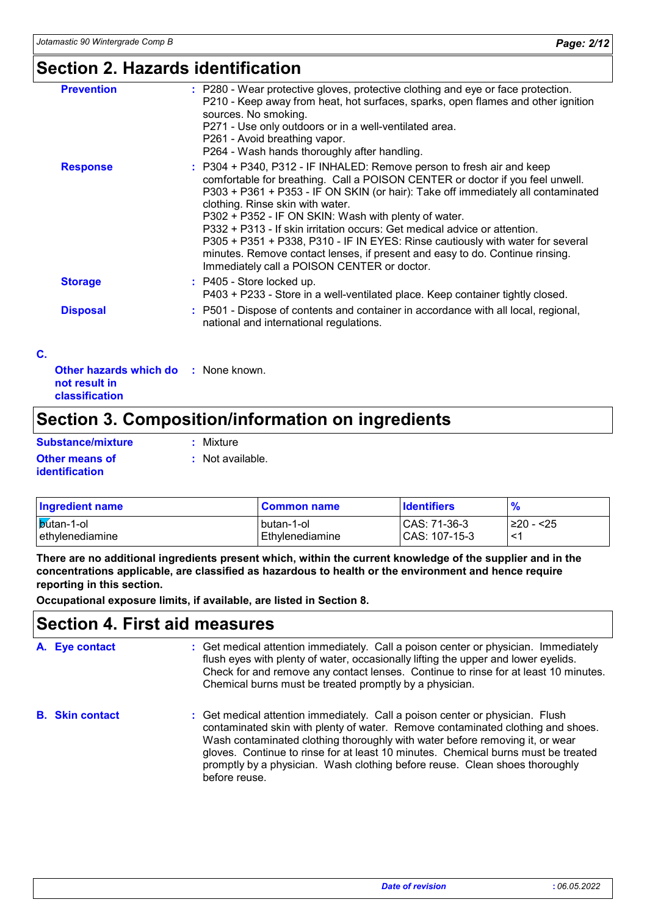### **Section 2. Hazards identification**

|    | <b>Prevention</b>                                            | : P280 - Wear protective gloves, protective clothing and eye or face protection.<br>P210 - Keep away from heat, hot surfaces, sparks, open flames and other ignition<br>sources. No smoking.<br>P271 - Use only outdoors or in a well-ventilated area.<br>P261 - Avoid breathing vapor.<br>P264 - Wash hands thoroughly after handling.                                                                                                                                                                                                                                                                                              |
|----|--------------------------------------------------------------|--------------------------------------------------------------------------------------------------------------------------------------------------------------------------------------------------------------------------------------------------------------------------------------------------------------------------------------------------------------------------------------------------------------------------------------------------------------------------------------------------------------------------------------------------------------------------------------------------------------------------------------|
|    | <b>Response</b>                                              | : P304 + P340, P312 - IF INHALED: Remove person to fresh air and keep<br>comfortable for breathing. Call a POISON CENTER or doctor if you feel unwell.<br>P303 + P361 + P353 - IF ON SKIN (or hair): Take off immediately all contaminated<br>clothing. Rinse skin with water.<br>P302 + P352 - IF ON SKIN: Wash with plenty of water.<br>P332 + P313 - If skin irritation occurs: Get medical advice or attention.<br>P305 + P351 + P338, P310 - IF IN EYES: Rinse cautiously with water for several<br>minutes. Remove contact lenses, if present and easy to do. Continue rinsing.<br>Immediately call a POISON CENTER or doctor. |
|    | <b>Storage</b>                                               | : P405 - Store locked up.<br>P403 + P233 - Store in a well-ventilated place. Keep container tightly closed.                                                                                                                                                                                                                                                                                                                                                                                                                                                                                                                          |
|    | <b>Disposal</b>                                              | : P501 - Dispose of contents and container in accordance with all local, regional,<br>national and international regulations.                                                                                                                                                                                                                                                                                                                                                                                                                                                                                                        |
| C. |                                                              |                                                                                                                                                                                                                                                                                                                                                                                                                                                                                                                                                                                                                                      |
|    | <b>Other hazards which do : None known.</b><br>not result in |                                                                                                                                                                                                                                                                                                                                                                                                                                                                                                                                                                                                                                      |

# **Section 3. Composition/information on ingredients**

| Substance/mixture     | : Mixture        |
|-----------------------|------------------|
| <b>Other means of</b> | : Not available. |
| <b>identification</b> |                  |

**classification**

| <b>Ingredient name</b> | ∣ Common name     | <b>Identifiers</b> | $\frac{9}{6}$ |
|------------------------|-------------------|--------------------|---------------|
| <b>b</b> utan-1-ol     | Tbutan-1-ol       | CAS: 71-36-3       | ≥20 - <25     |
| I ethvlenediamine      | l Ethvlenediamine | CAS: 107-15-3      | $\epsilon$    |

**There are no additional ingredients present which, within the current knowledge of the supplier and in the concentrations applicable, are classified as hazardous to health or the environment and hence require reporting in this section.**

**Occupational exposure limits, if available, are listed in Section 8.**

### **Section 4. First aid measures**

| A. Eye contact         | : Get medical attention immediately. Call a poison center or physician. Immediately<br>flush eyes with plenty of water, occasionally lifting the upper and lower eyelids.<br>Check for and remove any contact lenses. Continue to rinse for at least 10 minutes.<br>Chemical burns must be treated promptly by a physician.                                                                                                           |
|------------------------|---------------------------------------------------------------------------------------------------------------------------------------------------------------------------------------------------------------------------------------------------------------------------------------------------------------------------------------------------------------------------------------------------------------------------------------|
| <b>B.</b> Skin contact | : Get medical attention immediately. Call a poison center or physician. Flush<br>contaminated skin with plenty of water. Remove contaminated clothing and shoes.<br>Wash contaminated clothing thoroughly with water before removing it, or wear<br>gloves. Continue to rinse for at least 10 minutes. Chemical burns must be treated<br>promptly by a physician. Wash clothing before reuse. Clean shoes thoroughly<br>before reuse. |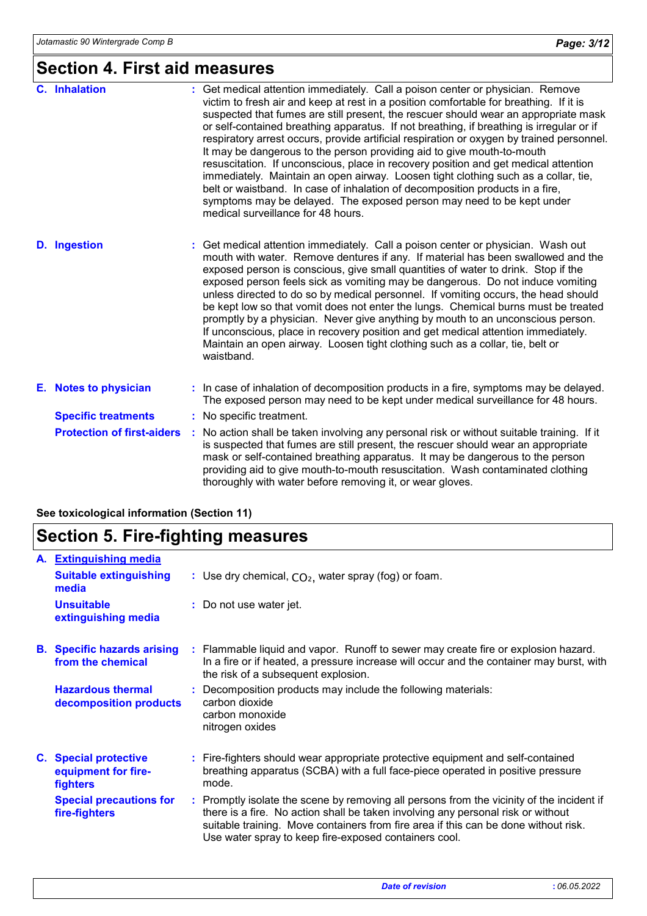## **Section 4. First aid measures**

| <b>C.</b> Inhalation              | Get medical attention immediately. Call a poison center or physician. Remove<br>victim to fresh air and keep at rest in a position comfortable for breathing. If it is<br>suspected that fumes are still present, the rescuer should wear an appropriate mask<br>or self-contained breathing apparatus. If not breathing, if breathing is irregular or if<br>respiratory arrest occurs, provide artificial respiration or oxygen by trained personnel.<br>It may be dangerous to the person providing aid to give mouth-to-mouth<br>resuscitation. If unconscious, place in recovery position and get medical attention<br>immediately. Maintain an open airway. Loosen tight clothing such as a collar, tie,<br>belt or waistband. In case of inhalation of decomposition products in a fire,<br>symptoms may be delayed. The exposed person may need to be kept under<br>medical surveillance for 48 hours. |
|-----------------------------------|---------------------------------------------------------------------------------------------------------------------------------------------------------------------------------------------------------------------------------------------------------------------------------------------------------------------------------------------------------------------------------------------------------------------------------------------------------------------------------------------------------------------------------------------------------------------------------------------------------------------------------------------------------------------------------------------------------------------------------------------------------------------------------------------------------------------------------------------------------------------------------------------------------------|
| <b>D.</b> Ingestion               | : Get medical attention immediately. Call a poison center or physician. Wash out<br>mouth with water. Remove dentures if any. If material has been swallowed and the<br>exposed person is conscious, give small quantities of water to drink. Stop if the<br>exposed person feels sick as vomiting may be dangerous. Do not induce vomiting<br>unless directed to do so by medical personnel. If vomiting occurs, the head should<br>be kept low so that vomit does not enter the lungs. Chemical burns must be treated<br>promptly by a physician. Never give anything by mouth to an unconscious person.<br>If unconscious, place in recovery position and get medical attention immediately.<br>Maintain an open airway. Loosen tight clothing such as a collar, tie, belt or<br>waistband.                                                                                                                |
| E. Notes to physician             | : In case of inhalation of decomposition products in a fire, symptoms may be delayed.<br>The exposed person may need to be kept under medical surveillance for 48 hours.                                                                                                                                                                                                                                                                                                                                                                                                                                                                                                                                                                                                                                                                                                                                      |
| <b>Specific treatments</b>        | : No specific treatment.                                                                                                                                                                                                                                                                                                                                                                                                                                                                                                                                                                                                                                                                                                                                                                                                                                                                                      |
| <b>Protection of first-aiders</b> | : No action shall be taken involving any personal risk or without suitable training. If it<br>is suspected that fumes are still present, the rescuer should wear an appropriate<br>mask or self-contained breathing apparatus. It may be dangerous to the person<br>providing aid to give mouth-to-mouth resuscitation. Wash contaminated clothing<br>thoroughly with water before removing it, or wear gloves.                                                                                                                                                                                                                                                                                                                                                                                                                                                                                               |

### **See toxicological information (Section 11)**

# **Section 5. Fire-fighting measures**

| A. | <b>Extinguishing media</b>                                             |                                                                                                                                                                                                                                                                                                                               |
|----|------------------------------------------------------------------------|-------------------------------------------------------------------------------------------------------------------------------------------------------------------------------------------------------------------------------------------------------------------------------------------------------------------------------|
|    | <b>Suitable extinguishing</b><br>media                                 | : Use dry chemical, $CO2$ , water spray (fog) or foam.                                                                                                                                                                                                                                                                        |
|    | <b>Unsuitable</b><br>extinguishing media                               | : Do not use water jet.                                                                                                                                                                                                                                                                                                       |
|    | <b>B.</b> Specific hazards arising<br>from the chemical                | : Flammable liquid and vapor. Runoff to sewer may create fire or explosion hazard.<br>In a fire or if heated, a pressure increase will occur and the container may burst, with<br>the risk of a subsequent explosion.                                                                                                         |
|    | <b>Hazardous thermal</b><br>decomposition products                     | : Decomposition products may include the following materials:<br>carbon dioxide<br>carbon monoxide<br>nitrogen oxides                                                                                                                                                                                                         |
|    | <b>C.</b> Special protective<br>equipment for fire-<br><b>fighters</b> | : Fire-fighters should wear appropriate protective equipment and self-contained<br>breathing apparatus (SCBA) with a full face-piece operated in positive pressure<br>mode.                                                                                                                                                   |
|    | <b>Special precautions for</b><br>fire-fighters                        | : Promptly isolate the scene by removing all persons from the vicinity of the incident if<br>there is a fire. No action shall be taken involving any personal risk or without<br>suitable training. Move containers from fire area if this can be done without risk.<br>Use water spray to keep fire-exposed containers cool. |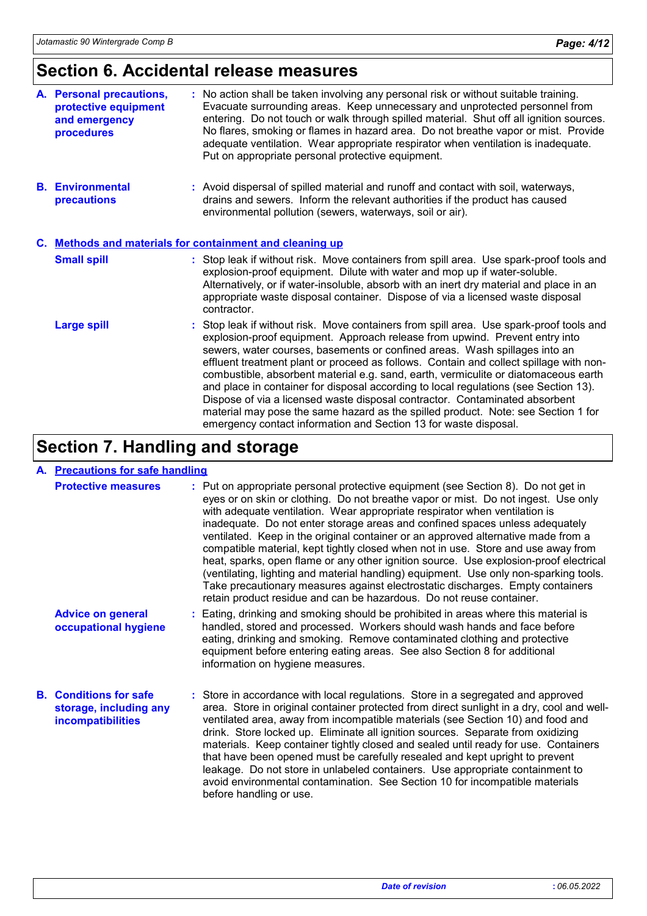## **Section 6. Accidental release measures**

| A. Personal precautions,<br>protective equipment<br>and emergency<br>procedures | : No action shall be taken involving any personal risk or without suitable training.<br>Evacuate surrounding areas. Keep unnecessary and unprotected personnel from<br>entering. Do not touch or walk through spilled material. Shut off all ignition sources.<br>No flares, smoking or flames in hazard area. Do not breathe vapor or mist. Provide<br>adequate ventilation. Wear appropriate respirator when ventilation is inadequate.<br>Put on appropriate personal protective equipment.                                                                                                                                                                                                                                                                        |
|---------------------------------------------------------------------------------|-----------------------------------------------------------------------------------------------------------------------------------------------------------------------------------------------------------------------------------------------------------------------------------------------------------------------------------------------------------------------------------------------------------------------------------------------------------------------------------------------------------------------------------------------------------------------------------------------------------------------------------------------------------------------------------------------------------------------------------------------------------------------|
| <b>B.</b> Environmental<br>precautions                                          | : Avoid dispersal of spilled material and runoff and contact with soil, waterways,<br>drains and sewers. Inform the relevant authorities if the product has caused<br>environmental pollution (sewers, waterways, soil or air).                                                                                                                                                                                                                                                                                                                                                                                                                                                                                                                                       |
|                                                                                 | C. Methods and materials for containment and cleaning up                                                                                                                                                                                                                                                                                                                                                                                                                                                                                                                                                                                                                                                                                                              |
| <b>Small spill</b>                                                              | : Stop leak if without risk. Move containers from spill area. Use spark-proof tools and<br>explosion-proof equipment. Dilute with water and mop up if water-soluble.<br>Alternatively, or if water-insoluble, absorb with an inert dry material and place in an<br>appropriate waste disposal container. Dispose of via a licensed waste disposal<br>contractor.                                                                                                                                                                                                                                                                                                                                                                                                      |
| <b>Large spill</b>                                                              | : Stop leak if without risk. Move containers from spill area. Use spark-proof tools and<br>explosion-proof equipment. Approach release from upwind. Prevent entry into<br>sewers, water courses, basements or confined areas. Wash spillages into an<br>effluent treatment plant or proceed as follows. Contain and collect spillage with non-<br>combustible, absorbent material e.g. sand, earth, vermiculite or diatomaceous earth<br>and place in container for disposal according to local regulations (see Section 13).<br>Dispose of via a licensed waste disposal contractor. Contaminated absorbent<br>material may pose the same hazard as the spilled product. Note: see Section 1 for<br>emergency contact information and Section 13 for waste disposal. |

# **Section 7. Handling and storage**

### **A. Precautions for safe handling**

| <b>Protective measures</b>                                                   | : Put on appropriate personal protective equipment (see Section 8). Do not get in<br>eyes or on skin or clothing. Do not breathe vapor or mist. Do not ingest. Use only<br>with adequate ventilation. Wear appropriate respirator when ventilation is<br>inadequate. Do not enter storage areas and confined spaces unless adequately<br>ventilated. Keep in the original container or an approved alternative made from a<br>compatible material, kept tightly closed when not in use. Store and use away from<br>heat, sparks, open flame or any other ignition source. Use explosion-proof electrical<br>(ventilating, lighting and material handling) equipment. Use only non-sparking tools.<br>Take precautionary measures against electrostatic discharges. Empty containers<br>retain product residue and can be hazardous. Do not reuse container. |
|------------------------------------------------------------------------------|-------------------------------------------------------------------------------------------------------------------------------------------------------------------------------------------------------------------------------------------------------------------------------------------------------------------------------------------------------------------------------------------------------------------------------------------------------------------------------------------------------------------------------------------------------------------------------------------------------------------------------------------------------------------------------------------------------------------------------------------------------------------------------------------------------------------------------------------------------------|
| <b>Advice on general</b><br>occupational hygiene                             | : Eating, drinking and smoking should be prohibited in areas where this material is<br>handled, stored and processed. Workers should wash hands and face before<br>eating, drinking and smoking. Remove contaminated clothing and protective<br>equipment before entering eating areas. See also Section 8 for additional<br>information on hygiene measures.                                                                                                                                                                                                                                                                                                                                                                                                                                                                                               |
| <b>B.</b> Conditions for safe<br>storage, including any<br>incompatibilities | : Store in accordance with local regulations. Store in a segregated and approved<br>area. Store in original container protected from direct sunlight in a dry, cool and well-<br>ventilated area, away from incompatible materials (see Section 10) and food and<br>drink. Store locked up. Eliminate all ignition sources. Separate from oxidizing<br>materials. Keep container tightly closed and sealed until ready for use. Containers<br>that have been opened must be carefully resealed and kept upright to prevent<br>leakage. Do not store in unlabeled containers. Use appropriate containment to<br>avoid environmental contamination. See Section 10 for incompatible materials<br>before handling or use.                                                                                                                                      |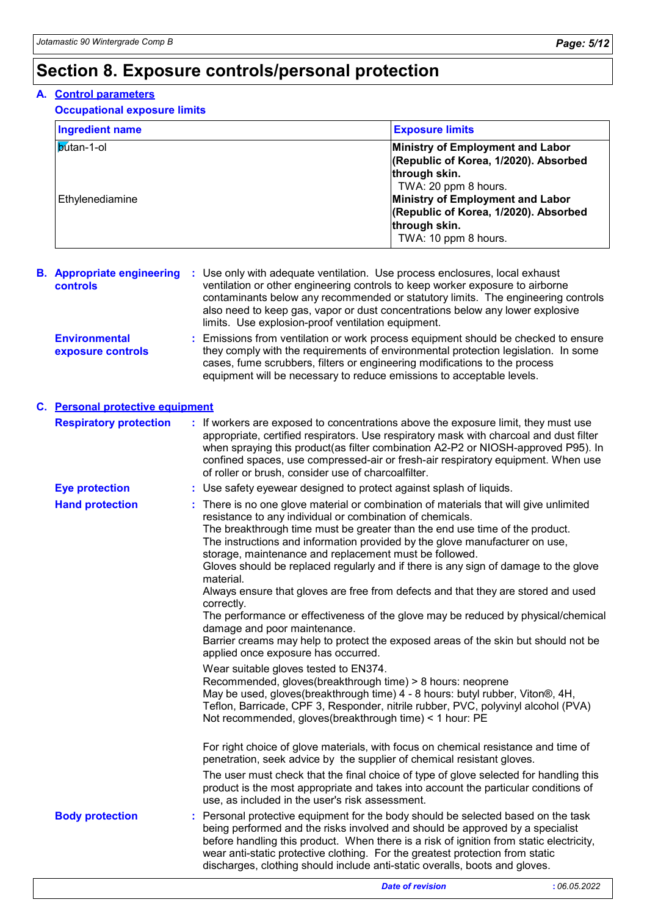## **Section 8. Exposure controls/personal protection**

#### **A. Control parameters**

**Occupational exposure limits**

| <b>Ingredient name</b> | <b>Exposure limits</b>                                                                                                                                      |
|------------------------|-------------------------------------------------------------------------------------------------------------------------------------------------------------|
| <b>b</b> utan-1-ol     | Ministry of Employment and Labor<br>(Republic of Korea, 1/2020). Absorbed                                                                                   |
| Ethylenediamine        | through skin.<br>TWA: 20 ppm 8 hours.<br>Ministry of Employment and Labor<br>(Republic of Korea, 1/2020). Absorbed<br>through skin.<br>TWA: 10 ppm 8 hours. |

| <b>controls</b>      | <b>B.</b> Appropriate engineering : Use only with adequate ventilation. Use process enclosures, local exhaust<br>ventilation or other engineering controls to keep worker exposure to airborne<br>contaminants below any recommended or statutory limits. The engineering controls<br>also need to keep gas, vapor or dust concentrations below any lower explosive<br>limits. Use explosion-proof ventilation equipment. |
|----------------------|---------------------------------------------------------------------------------------------------------------------------------------------------------------------------------------------------------------------------------------------------------------------------------------------------------------------------------------------------------------------------------------------------------------------------|
| <b>Environmental</b> | : Emissions from ventilation or work process equipment should be checked to ensure<br>the companion of the theory of the control of the state of control and controlled to a large the control of the control                                                                                                                                                                                                             |

**exposure controls** they comply with the requirements of environmental protection legislation. In some cases, fume scrubbers, filters or engineering modifications to the process equipment will be necessary to reduce emissions to acceptable levels.

#### **C. Personal protective equipment**

| <b>Respiratory protection</b> | : If workers are exposed to concentrations above the exposure limit, they must use<br>appropriate, certified respirators. Use respiratory mask with charcoal and dust filter<br>when spraying this product(as filter combination A2-P2 or NIOSH-approved P95). In<br>confined spaces, use compressed-air or fresh-air respiratory equipment. When use<br>of roller or brush, consider use of charcoalfilter.                                                                                                                                                                                                                                                                                                                                                                                                                                                                                                                                                                                                                                                                                                                                                                |
|-------------------------------|-----------------------------------------------------------------------------------------------------------------------------------------------------------------------------------------------------------------------------------------------------------------------------------------------------------------------------------------------------------------------------------------------------------------------------------------------------------------------------------------------------------------------------------------------------------------------------------------------------------------------------------------------------------------------------------------------------------------------------------------------------------------------------------------------------------------------------------------------------------------------------------------------------------------------------------------------------------------------------------------------------------------------------------------------------------------------------------------------------------------------------------------------------------------------------|
| <b>Eye protection</b>         | : Use safety eyewear designed to protect against splash of liquids.                                                                                                                                                                                                                                                                                                                                                                                                                                                                                                                                                                                                                                                                                                                                                                                                                                                                                                                                                                                                                                                                                                         |
| <b>Hand protection</b>        | : There is no one glove material or combination of materials that will give unlimited<br>resistance to any individual or combination of chemicals.<br>The breakthrough time must be greater than the end use time of the product.<br>The instructions and information provided by the glove manufacturer on use,<br>storage, maintenance and replacement must be followed.<br>Gloves should be replaced regularly and if there is any sign of damage to the glove<br>material.<br>Always ensure that gloves are free from defects and that they are stored and used<br>correctly.<br>The performance or effectiveness of the glove may be reduced by physical/chemical<br>damage and poor maintenance.<br>Barrier creams may help to protect the exposed areas of the skin but should not be<br>applied once exposure has occurred.<br>Wear suitable gloves tested to EN374.<br>Recommended, gloves(breakthrough time) > 8 hours: neoprene<br>May be used, gloves(breakthrough time) 4 - 8 hours: butyl rubber, Viton®, 4H,<br>Teflon, Barricade, CPF 3, Responder, nitrile rubber, PVC, polyvinyl alcohol (PVA)<br>Not recommended, gloves(breakthrough time) < 1 hour: PE |
|                               | For right choice of glove materials, with focus on chemical resistance and time of<br>penetration, seek advice by the supplier of chemical resistant gloves.                                                                                                                                                                                                                                                                                                                                                                                                                                                                                                                                                                                                                                                                                                                                                                                                                                                                                                                                                                                                                |
|                               | The user must check that the final choice of type of glove selected for handling this<br>product is the most appropriate and takes into account the particular conditions of<br>use, as included in the user's risk assessment.                                                                                                                                                                                                                                                                                                                                                                                                                                                                                                                                                                                                                                                                                                                                                                                                                                                                                                                                             |
| <b>Body protection</b>        | : Personal protective equipment for the body should be selected based on the task<br>being performed and the risks involved and should be approved by a specialist<br>before handling this product. When there is a risk of ignition from static electricity,<br>wear anti-static protective clothing. For the greatest protection from static<br>discharges, clothing should include anti-static overalls, boots and gloves.                                                                                                                                                                                                                                                                                                                                                                                                                                                                                                                                                                                                                                                                                                                                               |
|                               | :06.05.2022<br><b>Date of revision</b>                                                                                                                                                                                                                                                                                                                                                                                                                                                                                                                                                                                                                                                                                                                                                                                                                                                                                                                                                                                                                                                                                                                                      |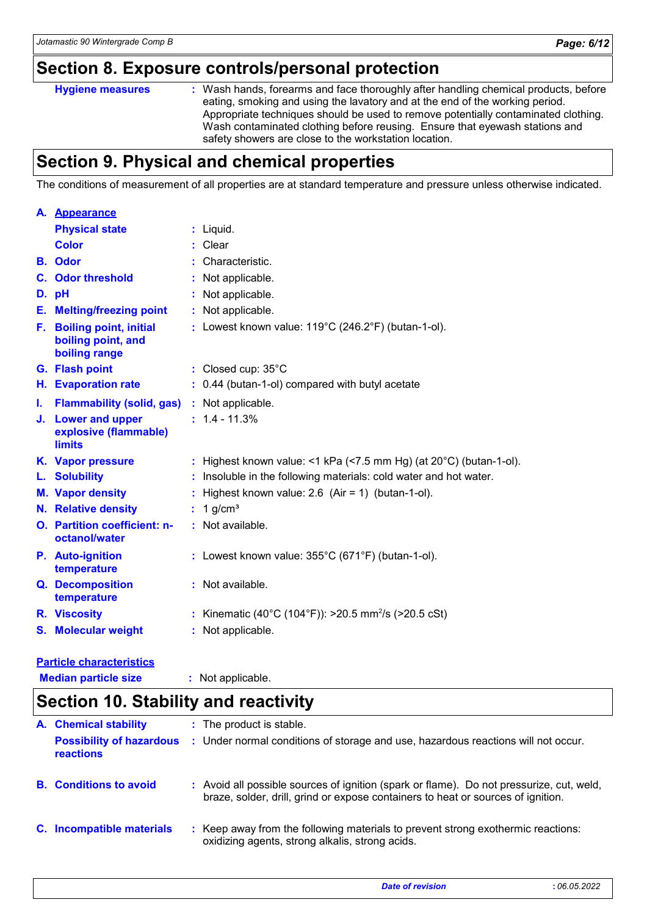### **Section 8. Exposure controls/personal protection**

**Hygiene measures :**

Wash hands, forearms and face thoroughly after handling chemical products, before eating, smoking and using the lavatory and at the end of the working period. Appropriate techniques should be used to remove potentially contaminated clothing. Wash contaminated clothing before reusing. Ensure that eyewash stations and safety showers are close to the workstation location.

## **Section 9. Physical and chemical properties**

The conditions of measurement of all properties are at standard temperature and pressure unless otherwise indicated.

|    | A. Appearance                                                        |    |                                                                              |
|----|----------------------------------------------------------------------|----|------------------------------------------------------------------------------|
|    | <b>Physical state</b>                                                |    | $:$ Liquid.                                                                  |
|    | <b>Color</b>                                                         |    | Clear                                                                        |
|    | <b>B.</b> Odor                                                       |    | Characteristic.                                                              |
|    | <b>C.</b> Odor threshold                                             |    | Not applicable.                                                              |
|    | D. pH                                                                |    | : Not applicable.                                                            |
| Е. | <b>Melting/freezing point</b>                                        |    | Not applicable.                                                              |
| F. | <b>Boiling point, initial</b><br>boiling point, and<br>boiling range |    | : Lowest known value: $119^{\circ}$ C (246.2°F) (butan-1-ol).                |
|    | G. Flash point                                                       |    | : Closed cup: 35°C                                                           |
|    | <b>H.</b> Evaporation rate                                           |    | : 0.44 (butan-1-ol) compared with butyl acetate                              |
| L. | <b>Flammability (solid, gas)</b>                                     |    | : Not applicable.                                                            |
|    | J. Lower and upper<br>explosive (flammable)<br><b>limits</b>         |    | $: 1.4 - 11.3%$                                                              |
|    | K. Vapor pressure                                                    |    | : Highest known value: <1 kPa (<7.5 mm Hg) (at $20^{\circ}$ C) (butan-1-ol). |
|    | L. Solubility                                                        |    | Insoluble in the following materials: cold water and hot water.              |
|    | <b>M.</b> Vapor density                                              |    | Highest known value: $2.6$ (Air = 1) (butan-1-ol).                           |
|    | N. Relative density                                                  |    | 1 g/cm <sup>3</sup>                                                          |
|    | O. Partition coefficient: n-<br>octanol/water                        |    | : Not available.                                                             |
|    | P. Auto-ignition<br>temperature                                      |    | : Lowest known value: $355^{\circ}$ C (671°F) (butan-1-ol).                  |
|    | Q. Decomposition<br>temperature                                      |    | : Not available.                                                             |
|    | R. Viscosity                                                         | t. | Kinematic (40°C (104°F)): >20.5 mm <sup>2</sup> /s (>20.5 cSt)               |
|    | S. Molecular weight                                                  | t. | Not applicable.                                                              |
|    |                                                                      |    |                                                                              |

### **Particle characteristics**

**Median particle size :** Not applicable.

## **Section 10. Stability and reactivity**

| A. | <b>Chemical stability</b>                           | : The product is stable.                                                                                                                                                     |
|----|-----------------------------------------------------|------------------------------------------------------------------------------------------------------------------------------------------------------------------------------|
|    | <b>Possibility of hazardous</b><br><b>reactions</b> | : Under normal conditions of storage and use, hazardous reactions will not occur.                                                                                            |
|    | <b>B.</b> Conditions to avoid                       | : Avoid all possible sources of ignition (spark or flame). Do not pressurize, cut, weld,<br>braze, solder, drill, grind or expose containers to heat or sources of ignition. |
|    | C. Incompatible materials                           | : Keep away from the following materials to prevent strong exothermic reactions:<br>oxidizing agents, strong alkalis, strong acids.                                          |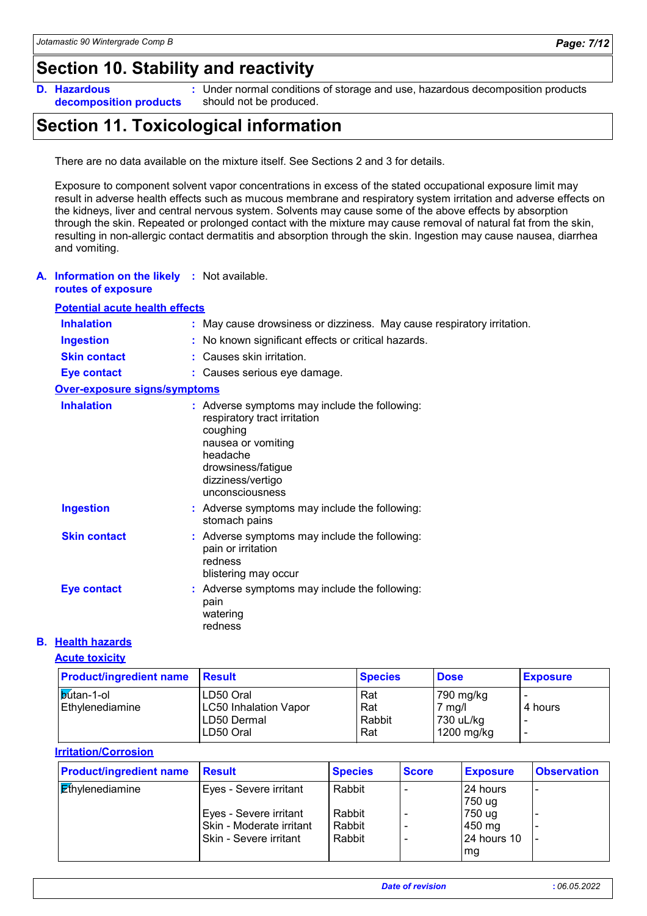## **Section 10. Stability and reactivity**

**Hazardous D. : decomposition products**

Under normal conditions of storage and use, hazardous decomposition products should not be produced.

# **Section 11. Toxicological information**

There are no data available on the mixture itself. See Sections 2 and 3 for details.

Exposure to component solvent vapor concentrations in excess of the stated occupational exposure limit may result in adverse health effects such as mucous membrane and respiratory system irritation and adverse effects on the kidneys, liver and central nervous system. Solvents may cause some of the above effects by absorption through the skin. Repeated or prolonged contact with the mixture may cause removal of natural fat from the skin, resulting in non-allergic contact dermatitis and absorption through the skin. Ingestion may cause nausea, diarrhea and vomiting.

**A. Information on the likely :** Not available. **routes of exposure**

#### **Potential acute health effects**

| <b>Inhalation</b>                   | : May cause drowsiness or dizziness. May cause respiratory irritation.                                                                                                                    |
|-------------------------------------|-------------------------------------------------------------------------------------------------------------------------------------------------------------------------------------------|
| <b>Ingestion</b>                    | : No known significant effects or critical hazards.                                                                                                                                       |
| <b>Skin contact</b>                 | : Causes skin irritation.                                                                                                                                                                 |
| <b>Eye contact</b>                  | : Causes serious eye damage.                                                                                                                                                              |
| <b>Over-exposure signs/symptoms</b> |                                                                                                                                                                                           |
| <b>Inhalation</b>                   | : Adverse symptoms may include the following:<br>respiratory tract irritation<br>coughing<br>nausea or vomiting<br>headache<br>drowsiness/fatigue<br>dizziness/vertigo<br>unconsciousness |
| <b>Ingestion</b>                    | : Adverse symptoms may include the following:<br>stomach pains                                                                                                                            |
| <b>Skin contact</b>                 | : Adverse symptoms may include the following:<br>pain or irritation<br>redness<br>blistering may occur                                                                                    |
| <b>Eye contact</b>                  | : Adverse symptoms may include the following:<br>pain<br>watering                                                                                                                         |

redness

### **B. Health hazards**

#### **Acute toxicity**

| <b>Product/ingredient name</b> | <b>Result</b>                | <b>Species</b> | <b>Dose</b>      | <b>Exposure</b>          |
|--------------------------------|------------------------------|----------------|------------------|--------------------------|
| <b>b</b> utan-1-ol             | LD50 Oral                    | Rat            | 790 mg/kg        |                          |
| Ethylenediamine                | <b>LC50 Inhalation Vapor</b> | Rat            | $7 \text{ mg/l}$ | 4 hours                  |
|                                | LD50 Dermal                  | Rabbit         | 730 uL/kg        | -                        |
|                                | LD50 Oral                    | Rat            | 1200 mg/kg       | $\overline{\phantom{0}}$ |

#### **Irritation/Corrosion**

| <b>Product/ingredient name</b> | <b>Result</b>            | <b>Species</b> | <b>Score</b> | <b>Exposure</b>            | <b>Observation</b> |
|--------------------------------|--------------------------|----------------|--------------|----------------------------|--------------------|
| $\mathsf{E}$ thylenediamine    | Eyes - Severe irritant   | Rabbit         |              | 24 hours                   |                    |
|                                | Eyes - Severe irritant   | Rabbit         |              | 750 ug<br>750 ug           |                    |
|                                | Skin - Moderate irritant | Rabbit         |              | ⊥450 mg                    |                    |
|                                | l Skin - Severe irritant | Rabbit         |              | <b>24 hours 10</b><br>  mg |                    |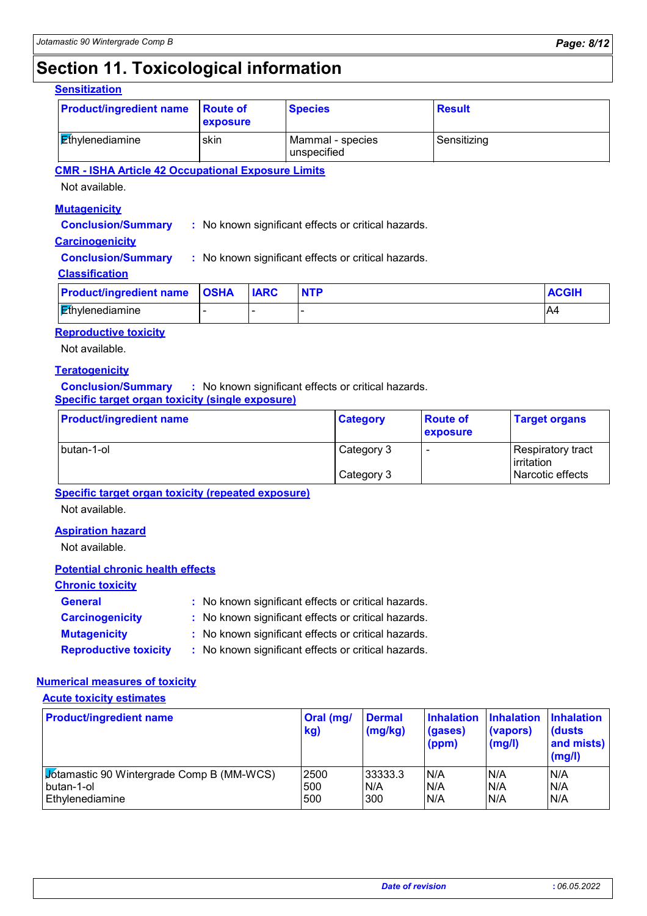## **Section 11. Toxicological information**

#### **Sensitization**

| <b>Product/ingredient name</b> | <b>Route of</b><br><b>exposure</b> | <b>Species</b>                  | <b>Result</b> |
|--------------------------------|------------------------------------|---------------------------------|---------------|
| $\mathsf{E}$ thylenediamine    | skin                               | Mammal - species<br>unspecified | Sensitizing   |

**CMR - ISHA Article 42 Occupational Exposure Limits**

Not available.

### **Mutagenicity**

**Conclusion/Summary :** No known significant effects or critical hazards.

#### **Carcinogenicity**

**Conclusion/Summary :** No known significant effects or critical hazards.

#### **Classification**

| <b>Product/ingredient name OSHA</b> | <b>IARC</b> | <b>NTP</b> | <b>ACGIH</b> |
|-------------------------------------|-------------|------------|--------------|
| Ethylenediamine                     |             |            | A4           |

### **Reproductive toxicity**

Not available.

#### **Teratogenicity**

**Conclusion/Summary :** No known significant effects or critical hazards. **Specific target organ toxicity (single exposure)**

| <b>Product/ingredient name</b> | <b>Category</b> | <b>Route of</b><br>exposure | <b>Target organs</b>                   |
|--------------------------------|-----------------|-----------------------------|----------------------------------------|
| Ibutan-1-ol                    | Category 3      | $\overline{\phantom{0}}$    | Respiratory tract                      |
|                                | Category 3      |                             | <b>lirritation</b><br>Narcotic effects |

**Specific target organ toxicity (repeated exposure)**

Not available.

#### **Aspiration hazard**

Not available.

#### **Potential chronic health effects**

| <b>Chronic toxicity</b>      |                                                     |
|------------------------------|-----------------------------------------------------|
| <b>General</b>               | : No known significant effects or critical hazards. |
| <b>Carcinogenicity</b>       | : No known significant effects or critical hazards. |
| <b>Mutagenicity</b>          | : No known significant effects or critical hazards. |
| <b>Reproductive toxicity</b> | : No known significant effects or critical hazards. |

#### **Numerical measures of toxicity**

#### **Acute toxicity estimates**

| <b>Product/ingredient name</b>                   | Oral (mg/<br>kg) | <b>Dermal</b><br>(mg/kg) | <b>Inhalation</b><br>(gases)<br>(ppm) | <b>Inhalation</b><br>(vapors)<br>(mg/l) | <b>Inhalation</b><br><b>(dusts)</b><br>and mists)<br>(mg/l) |
|--------------------------------------------------|------------------|--------------------------|---------------------------------------|-----------------------------------------|-------------------------------------------------------------|
| <b>Jotamastic 90 Wintergrade Comp B (MM-WCS)</b> | 2500             | 33333.3                  | N/A                                   | N/A                                     | N/A                                                         |
| butan-1-ol                                       | 500              | IN/A                     | N/A                                   | N/A                                     | N/A                                                         |
| Ethylenediamine                                  | 500              | 300                      | N/A                                   | N/A                                     | N/A                                                         |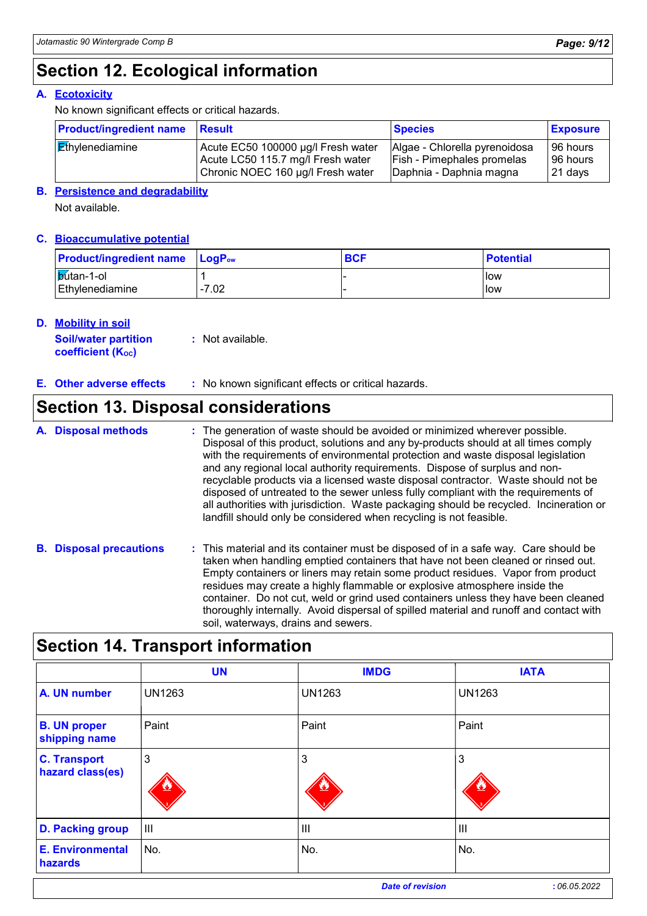## **Section 12. Ecological information**

### **A. Ecotoxicity**

No known significant effects or critical hazards.

| <b>Product/ingredient name</b> | ⊪Result                            | <b>Species</b>                    | <b>Exposure</b> |
|--------------------------------|------------------------------------|-----------------------------------|-----------------|
| $\mathbf{E}$ thylenediamine    | Acute EC50 100000 µg/l Fresh water | Algae - Chlorella pyrenoidosa     | 96 hours        |
|                                | Acute LC50 115.7 mg/l Fresh water  | <b>Fish - Pimephales promelas</b> | 96 hours        |
|                                | Chronic NOEC 160 µg/l Fresh water  | Daphnia - Daphnia magna           | 21 days         |

#### **Persistence and degradability B.**

Not available.

#### **Bioaccumulative potential C.**

| <b>Product/ingredient name</b> LogP <sub>ow</sub> |              | <b>BCF</b> | <b>Potential</b> |
|---------------------------------------------------|--------------|------------|------------------|
| <b>b</b> útan-1-ol                                |              |            | low              |
| Ethylenediamine                                   | 7.02<br>$-1$ |            | low              |

| <b>D.</b> Mobility in soil  |                  |
|-----------------------------|------------------|
| <b>Soil/water partition</b> | : Not available. |
| <b>coefficient (Koc)</b>    |                  |

**:** No known significant effects or critical hazards. **E.**

### **Section 13. Disposal considerations**

The generation of waste should be avoided or minimized wherever possible. Disposal of this product, solutions and any by-products should at all times comply with the requirements of environmental protection and waste disposal legislation and any regional local authority requirements. Dispose of surplus and nonrecyclable products via a licensed waste disposal contractor. Waste should not be disposed of untreated to the sewer unless fully compliant with the requirements of all authorities with jurisdiction. Waste packaging should be recycled. Incineration or landfill should only be considered when recycling is not feasible. **A. Disposal methods :**

**B. Disposal precautions :** This material and its container must be disposed of in a safe way. Care should be taken when handling emptied containers that have not been cleaned or rinsed out. Empty containers or liners may retain some product residues. Vapor from product residues may create a highly flammable or explosive atmosphere inside the container. Do not cut, weld or grind used containers unless they have been cleaned thoroughly internally. Avoid dispersal of spilled material and runoff and contact with soil, waterways, drains and sewers.

|                                         | <b>UN</b>      | <b>IMDG</b>   | <b>IATA</b>    |
|-----------------------------------------|----------------|---------------|----------------|
| A. UN number                            | <b>UN1263</b>  | <b>UN1263</b> | <b>UN1263</b>  |
| <b>B. UN proper</b><br>shipping name    | Paint          | Paint         | Paint          |
| <b>C. Transport</b><br>hazard class(es) | $\overline{3}$ | 3             | 3              |
| <b>D. Packing group</b>                 | ШI             | Ш             | $\mathbf{III}$ |
| <b>E. Environmental</b><br>hazards      | No.            | No.           | No.            |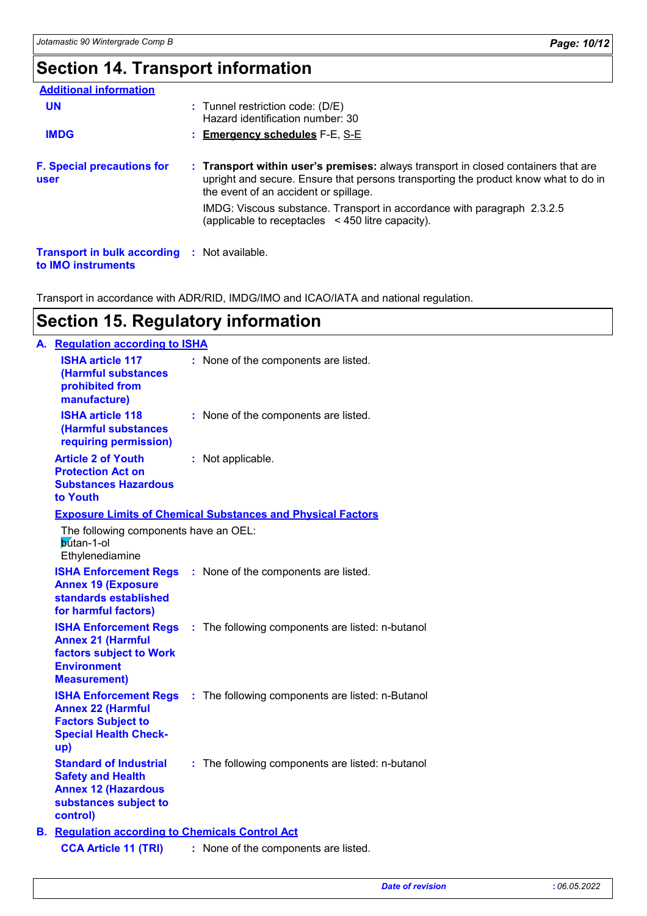# **Section 14. Transport information**

| <b>Additional information</b>                                             |                                                                                                                                                                                                                    |
|---------------------------------------------------------------------------|--------------------------------------------------------------------------------------------------------------------------------------------------------------------------------------------------------------------|
| <b>UN</b>                                                                 | $:$ Tunnel restriction code: (D/E)<br>Hazard identification number: 30                                                                                                                                             |
| <b>IMDG</b>                                                               | : Emergency schedules F-E, S-E                                                                                                                                                                                     |
| <b>F. Special precautions for</b><br><b>user</b>                          | : Transport within user's premises: always transport in closed containers that are<br>upright and secure. Ensure that persons transporting the product know what to do in<br>the event of an accident or spillage. |
|                                                                           | IMDG: Viscous substance. Transport in accordance with paragraph 2.3.2.5<br>(applicable to receptacles $\leq$ 450 litre capacity).                                                                                  |
| <b>Transport in bulk according : Not available.</b><br>to IMO instruments |                                                                                                                                                                                                                    |

Transport in accordance with ADR/RID, IMDG/IMO and ICAO/IATA and national regulation.

# **Section 15. Regulatory information**

|  | A. Regulation according to ISHA                                                                                                  |  |                                                  |  |  |  |
|--|----------------------------------------------------------------------------------------------------------------------------------|--|--------------------------------------------------|--|--|--|
|  | <b>ISHA article 117</b><br>(Harmful substances<br>prohibited from<br>manufacture)                                                |  | : None of the components are listed.             |  |  |  |
|  | <b>ISHA article 118</b><br>(Harmful substances<br>requiring permission)                                                          |  | : None of the components are listed.             |  |  |  |
|  | <b>Article 2 of Youth</b><br><b>Protection Act on</b><br><b>Substances Hazardous</b><br>to Youth                                 |  | : Not applicable.                                |  |  |  |
|  | <b>Exposure Limits of Chemical Substances and Physical Factors</b>                                                               |  |                                                  |  |  |  |
|  | The following components have an OEL:<br>butan-1-ol<br>Ethylenediamine                                                           |  |                                                  |  |  |  |
|  | <b>ISHA Enforcement Regs</b><br><b>Annex 19 (Exposure</b><br>standards established<br>for harmful factors)                       |  | : None of the components are listed.             |  |  |  |
|  | <b>ISHA Enforcement Regs</b><br><b>Annex 21 (Harmful</b><br>factors subject to Work<br><b>Environment</b><br><b>Measurement)</b> |  | : The following components are listed: n-butanol |  |  |  |
|  | <b>ISHA Enforcement Regs</b><br><b>Annex 22 (Harmful</b><br><b>Factors Subject to</b><br><b>Special Health Check-</b><br>up)     |  | : The following components are listed: n-Butanol |  |  |  |
|  | <b>Standard of Industrial</b><br><b>Safety and Health</b><br><b>Annex 12 (Hazardous</b><br>substances subject to<br>control)     |  | : The following components are listed: n-butanol |  |  |  |
|  | <b>B. Requiation according to Chemicals Control Act</b>                                                                          |  |                                                  |  |  |  |
|  | <b>CCA Article 11 (TRI)</b>                                                                                                      |  | : None of the components are listed.             |  |  |  |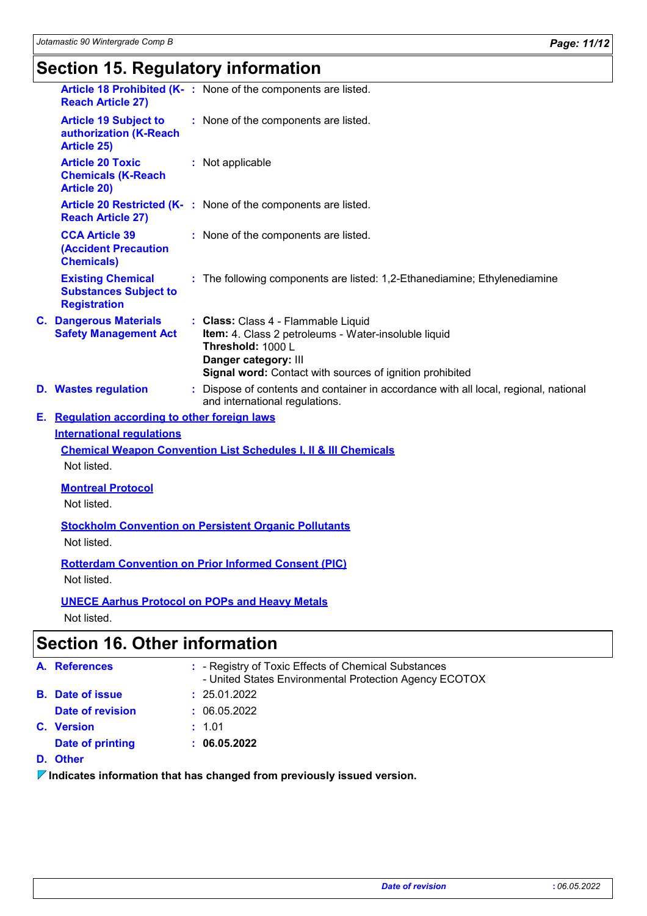# **Section 15. Regulatory information**

| <b>Reach Article 27)</b>                                                        | Article 18 Prohibited (K-: None of the components are listed.                                                                                                                                               |
|---------------------------------------------------------------------------------|-------------------------------------------------------------------------------------------------------------------------------------------------------------------------------------------------------------|
| <b>Article 19 Subject to</b><br>authorization (K-Reach<br><b>Article 25)</b>    | : None of the components are listed.                                                                                                                                                                        |
| <b>Article 20 Toxic</b><br><b>Chemicals (K-Reach</b><br><b>Article 20)</b>      | : Not applicable                                                                                                                                                                                            |
| <b>Reach Article 27)</b>                                                        | Article 20 Restricted (K-: None of the components are listed.                                                                                                                                               |
| <b>CCA Article 39</b><br><b>(Accident Precaution</b><br><b>Chemicals)</b>       | : None of the components are listed.                                                                                                                                                                        |
| <b>Existing Chemical</b><br><b>Substances Subject to</b><br><b>Registration</b> | : The following components are listed: 1,2-Ethanediamine; Ethylenediamine                                                                                                                                   |
| <b>C. Dangerous Materials</b><br><b>Safety Management Act</b>                   | : Class: Class 4 - Flammable Liquid<br>Item: 4. Class 2 petroleums - Water-insoluble liquid<br>Threshold: 1000 L<br>Danger category: III<br><b>Signal word: Contact with sources of ignition prohibited</b> |
| <b>D.</b> Wastes regulation                                                     | : Dispose of contents and container in accordance with all local, regional, national<br>and international regulations.                                                                                      |
| E. Regulation according to other foreign laws                                   |                                                                                                                                                                                                             |
| <b>International regulations</b>                                                |                                                                                                                                                                                                             |
|                                                                                 | <b>Chemical Weapon Convention List Schedules I, II &amp; III Chemicals</b>                                                                                                                                  |
| Not listed.                                                                     |                                                                                                                                                                                                             |
| <b>Montreal Protocol</b>                                                        |                                                                                                                                                                                                             |
| Not listed.                                                                     |                                                                                                                                                                                                             |
|                                                                                 | <b>Stockholm Convention on Persistent Organic Pollutants</b>                                                                                                                                                |
| Not listed.                                                                     |                                                                                                                                                                                                             |
|                                                                                 | <b>Rotterdam Convention on Prior Informed Consent (PIC)</b>                                                                                                                                                 |
| Not listed.                                                                     |                                                                                                                                                                                                             |
|                                                                                 | <b>UNECE Aarhus Protocol on POPs and Heavy Metals</b>                                                                                                                                                       |
| Not listed.                                                                     |                                                                                                                                                                                                             |
| <b>Section 16. Other information</b>                                            |                                                                                                                                                                                                             |
|                                                                                 |                                                                                                                                                                                                             |

| A. References           | : - Registry of Toxic Effects of Chemical Substances<br>- United States Environmental Protection Agency ECOTOX |
|-------------------------|----------------------------------------------------------------------------------------------------------------|
| <b>B.</b> Date of issue | : 25.01.2022                                                                                                   |
| Date of revision        | : 06.05.2022                                                                                                   |
| C. Version              | : 1.01                                                                                                         |
| Date of printing        | : 06.05.2022                                                                                                   |
| D. Other                |                                                                                                                |

**Indicates information that has changed from previously issued version.**